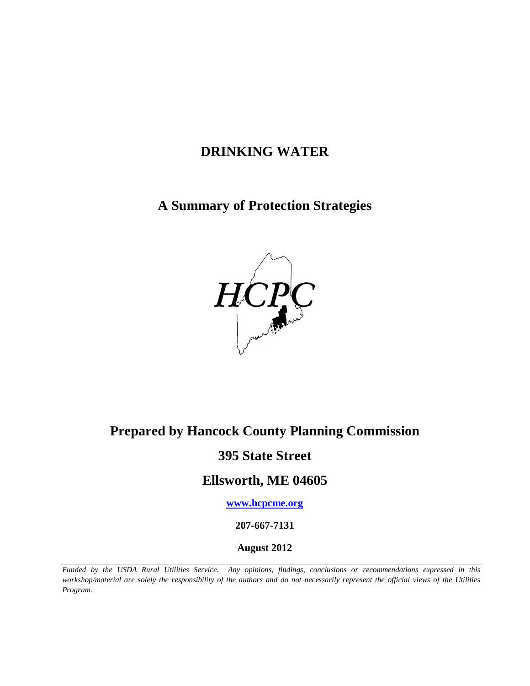# **DRINKING WATER**

### **A Summary of Protection Strategies**



# **Prepared by Hancock County Planning Commission**

## **395 State Street**

### **Ellsworth, ME 04605**

**[www.hcpcme.org](http://www.hcpcme.org/)**

**207-667-7131**

**August 2012**

*Funded by the USDA Rural Utilities Service. Any opinions, findings, conclusions or recommendations expressed in this workshop/material are solely the responsibility of the authors and do not necessarily represent the official views of the Utilities Program.*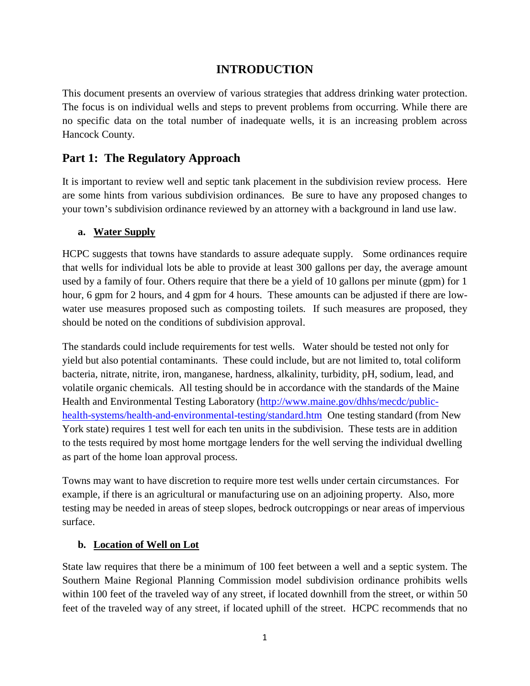### **INTRODUCTION**

This document presents an overview of various strategies that address drinking water protection. The focus is on individual wells and steps to prevent problems from occurring. While there are no specific data on the total number of inadequate wells, it is an increasing problem across Hancock County.

### **Part 1: The Regulatory Approach**

It is important to review well and septic tank placement in the subdivision review process. Here are some hints from various subdivision ordinances. Be sure to have any proposed changes to your town's subdivision ordinance reviewed by an attorney with a background in land use law.

#### **a. Water Supply**

HCPC suggests that towns have standards to assure adequate supply. Some ordinances require that wells for individual lots be able to provide at least 300 gallons per day, the average amount used by a family of four. Others require that there be a yield of 10 gallons per minute (gpm) for 1 hour, 6 gpm for 2 hours, and 4 gpm for 4 hours. These amounts can be adjusted if there are lowwater use measures proposed such as composting toilets. If such measures are proposed, they should be noted on the conditions of subdivision approval.

The standards could include requirements for test wells. Water should be tested not only for yield but also potential contaminants. These could include, but are not limited to, total coliform bacteria, nitrate, nitrite, iron, manganese, hardness, alkalinity, turbidity, pH, sodium, lead, and volatile organic chemicals. All testing should be in accordance with the standards of the Maine Health and Environmental Testing Laboratory [\(http://www.maine.gov/dhhs/mecdc/public](http://www.maine.gov/dhhs/mecdc/public-health-systems/health-and-environmental-testing/standard.htm)[health-systems/health-and-environmental-testing/standard.htm](http://www.maine.gov/dhhs/mecdc/public-health-systems/health-and-environmental-testing/standard.htm) One testing standard (from New York state) requires 1 test well for each ten units in the subdivision. These tests are in addition to the tests required by most home mortgage lenders for the well serving the individual dwelling as part of the home loan approval process.

Towns may want to have discretion to require more test wells under certain circumstances. For example, if there is an agricultural or manufacturing use on an adjoining property. Also, more testing may be needed in areas of steep slopes, bedrock outcroppings or near areas of impervious surface.

#### **b. Location of Well on Lot**

State law requires that there be a minimum of 100 feet between a well and a septic system. The Southern Maine Regional Planning Commission model subdivision ordinance prohibits wells within 100 feet of the traveled way of any street, if located downhill from the street, or within 50 feet of the traveled way of any street, if located uphill of the street. HCPC recommends that no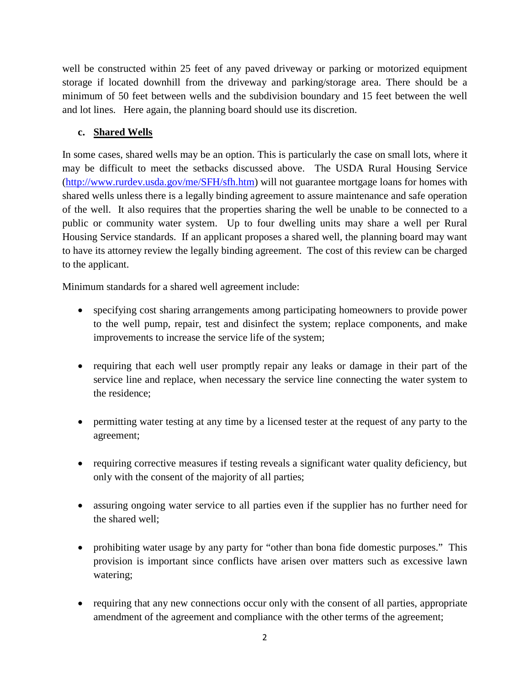well be constructed within 25 feet of any paved driveway or parking or motorized equipment storage if located downhill from the driveway and parking/storage area. There should be a minimum of 50 feet between wells and the subdivision boundary and 15 feet between the well and lot lines. Here again, the planning board should use its discretion.

#### **c. Shared Wells**

In some cases, shared wells may be an option. This is particularly the case on small lots, where it may be difficult to meet the setbacks discussed above. The USDA Rural Housing Service [\(http://www.rurdev.usda.gov/me/SFH/sfh.htm\)](http://www.rurdev.usda.gov/me/SFH/sfh.htm) will not guarantee mortgage loans for homes with shared wells unless there is a legally binding agreement to assure maintenance and safe operation of the well. It also requires that the properties sharing the well be unable to be connected to a public or community water system. Up to four dwelling units may share a well per Rural Housing Service standards. If an applicant proposes a shared well, the planning board may want to have its attorney review the legally binding agreement. The cost of this review can be charged to the applicant.

Minimum standards for a shared well agreement include:

- specifying cost sharing arrangements among participating homeowners to provide power to the well pump, repair, test and disinfect the system; replace components, and make improvements to increase the service life of the system;
- requiring that each well user promptly repair any leaks or damage in their part of the service line and replace, when necessary the service line connecting the water system to the residence;
- permitting water testing at any time by a licensed tester at the request of any party to the agreement;
- requiring corrective measures if testing reveals a significant water quality deficiency, but only with the consent of the majority of all parties;
- assuring ongoing water service to all parties even if the supplier has no further need for the shared well;
- prohibiting water usage by any party for "other than bona fide domestic purposes." This provision is important since conflicts have arisen over matters such as excessive lawn watering;
- requiring that any new connections occur only with the consent of all parties, appropriate amendment of the agreement and compliance with the other terms of the agreement;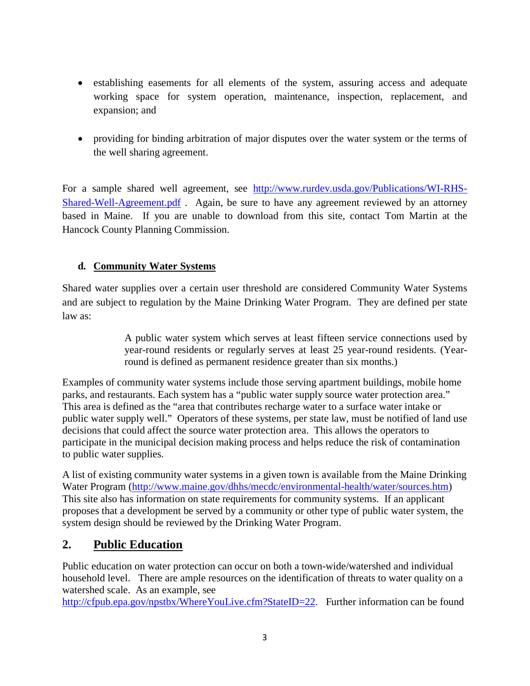- establishing easements for all elements of the system, assuring access and adequate working space for system operation, maintenance, inspection, replacement, and expansion; and
- providing for binding arbitration of major disputes over the water system or the terms of the well sharing agreement.

For a sample shared well agreement, see [http://www.rurdev.usda.gov/Publications/WI-RHS-](http://www.rurdev.usda.gov/Publications/WI-RHS-Shared-Well-Agreement.pdf)[Shared-Well-Agreement.pdf](http://www.rurdev.usda.gov/Publications/WI-RHS-Shared-Well-Agreement.pdf) . Again, be sure to have any agreement reviewed by an attorney based in Maine. If you are unable to download from this site, contact Tom Martin at the Hancock County Planning Commission.

#### **d. Community Water Systems**

Shared water supplies over a certain user threshold are considered Community Water Systems and are subject to regulation by the Maine Drinking Water Program. They are defined per state law as:

> A public water system which serves at least fifteen service connections used by year-round residents or regularly serves at least 25 year-round residents. (Yearround is defined as permanent residence greater than six months.)

Examples of community water systems include those serving apartment buildings, mobile home parks, and restaurants. Each system has a "public water supply source water protection area." This area is defined as the "area that contributes recharge water to a surface water intake or public water supply well." Operators of these systems, per state law, must be notified of land use decisions that could affect the source water protection area. This allows the operators to participate in the municipal decision making process and helps reduce the risk of contamination to public water supplies.

A list of existing community water systems in a given town is available from the Maine Drinking Water Program [\(http://www.maine.gov/dhhs/mecdc/environmental-health/water/sources.htm\)](http://www.maine.gov/dhhs/mecdc/environmental-health/water/sources.htm) This site also has information on state requirements for community systems. If an applicant proposes that a development be served by a community or other type of public water system, the system design should be reviewed by the Drinking Water Program.

### **2. Public Education**

Public education on water protection can occur on both a town-wide/watershed and individual household level. There are ample resources on the identification of threats to water quality on a watershed scale. As an example, see

[http://cfpub.epa.gov/npstbx/WhereYouLive.cfm?StateID=22.](http://cfpub.epa.gov/npstbx/WhereYouLive.cfm?StateID=22) Further information can be found